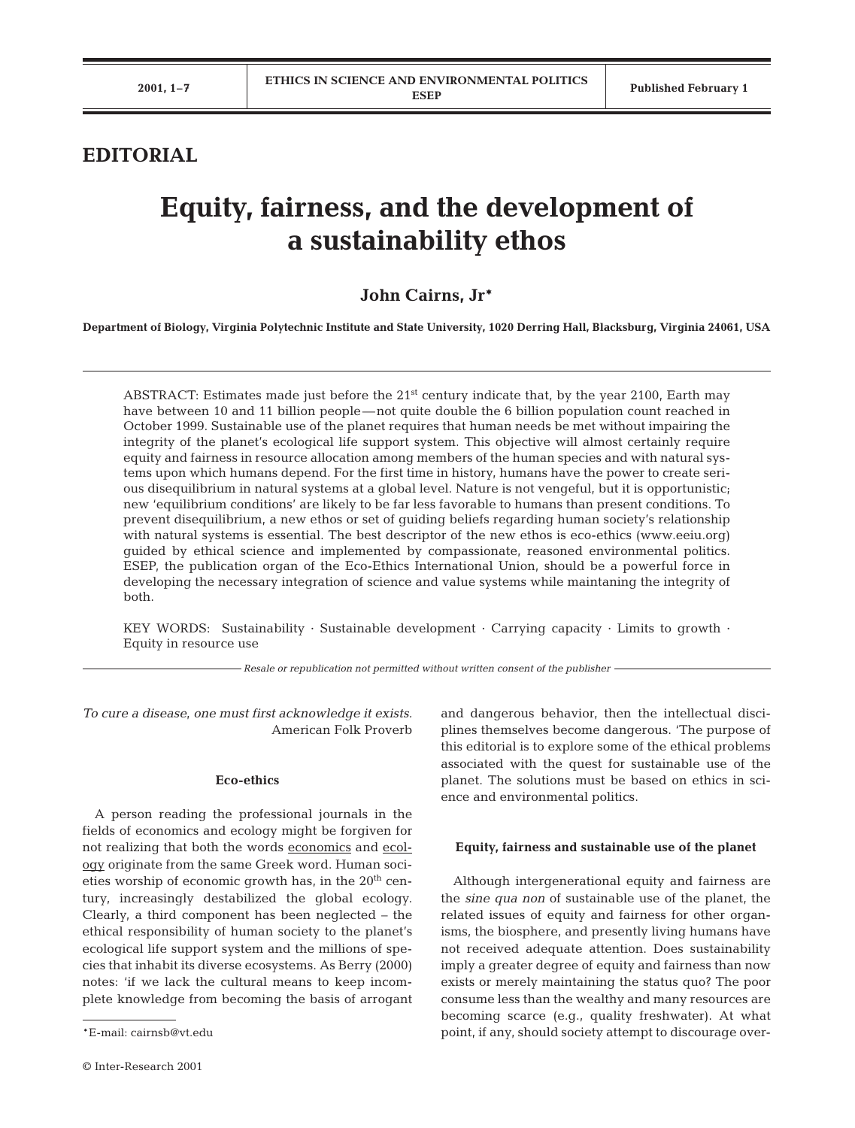# **EDITORIAL**

# **Equity, fairness, and the development of a sustainability ethos**

# **John Cairns, Jr\***

**Department of Biology, Virginia Polytechnic Institute and State University, 1020 Derring Hall, Blacksburg, Virginia 24061, USA**

ABSTRACT: Estimates made just before the 21<sup>st</sup> century indicate that, by the year 2100, Earth may have between 10 and 11 billion people—not quite double the 6 billion population count reached in October 1999. Sustainable use of the planet requires that human needs be met without impairing the integrity of the planet's ecological life support system. This objective will almost certainly require equity and fairness in resource allocation among members of the human species and with natural systems upon which humans depend. For the first time in history, humans have the power to create serious disequilibrium in natural systems at a global level. Nature is not vengeful, but it is opportunistic; new 'equilibrium conditions' are likely to be far less favorable to humans than present conditions. To prevent disequilibrium, a new ethos or set of guiding beliefs regarding human society's relationship with natural systems is essential. The best descriptor of the new ethos is eco-ethics (www.eeiu.org) guided by ethical science and implemented by compassionate, reasoned environmental politics. ESEP, the publication organ of the Eco-Ethics International Union, should be a powerful force in developing the necessary integration of science and value systems while maintaning the integrity of both.

KEY WORDS: Sustainability · Sustainable development · Carrying capacity · Limits to growth · Equity in resource use

*Resale or republication not permitted without written consent of the publisher*

*To cure a disease, one must first acknowledge it exists.* American Folk Proverb

#### **Eco-ethics**

A person reading the professional journals in the fields of economics and ecology might be forgiven for not realizing that both the words economics and ecology originate from the same Greek word. Human societies worship of economic growth has, in the  $20<sup>th</sup>$  century, increasingly destabilized the global ecology. Clearly, a third component has been neglected – the ethical responsibility of human society to the planet's ecological life support system and the millions of species that inhabit its diverse ecosystems. As Berry (2000) notes: 'if we lack the cultural means to keep incomplete knowledge from becoming the basis of arrogant and dangerous behavior, then the intellectual disciplines themselves become dangerous. 'The purpose of this editorial is to explore some of the ethical problems associated with the quest for sustainable use of the planet. The solutions must be based on ethics in science and environmental politics.

#### **Equity, fairness and sustainable use of the planet**

Although intergenerational equity and fairness are the *sine qua non* of sustainable use of the planet, the related issues of equity and fairness for other organisms, the biosphere, and presently living humans have not received adequate attention. Does sustainability imply a greater degree of equity and fairness than now exists or merely maintaining the status quo? The poor consume less than the wealthy and many resources are becoming scarce (e.g., quality freshwater). At what point, if any, should society attempt to discourage over-

<sup>\*</sup>E-mail: cairnsb@vt.edu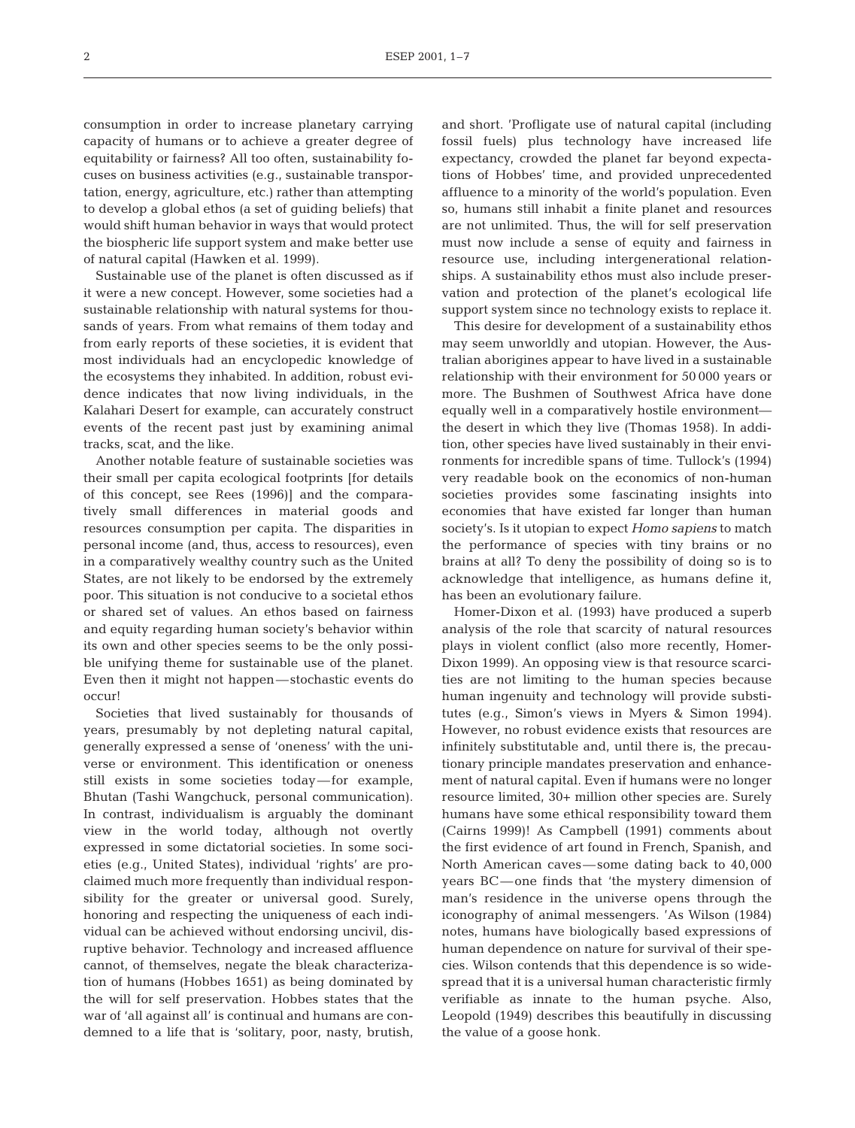consumption in order to increase planetary carrying capacity of humans or to achieve a greater degree of equitability or fairness? All too often, sustainability focuses on business activities (e.g., sustainable transportation, energy, agriculture, etc.) rather than attempting to develop a global ethos (a set of guiding beliefs) that would shift human behavior in ways that would protect the biospheric life support system and make better use of natural capital (Hawken et al. 1999).

Sustainable use of the planet is often discussed as if it were a new concept. However, some societies had a sustainable relationship with natural systems for thousands of years. From what remains of them today and from early reports of these societies, it is evident that most individuals had an encyclopedic knowledge of the ecosystems they inhabited. In addition, robust evidence indicates that now living individuals, in the Kalahari Desert for example, can accurately construct events of the recent past just by examining animal tracks, scat, and the like.

Another notable feature of sustainable societies was their small per capita ecological footprints [for details of this concept, see Rees (1996)] and the comparatively small differences in material goods and resources consumption per capita. The disparities in personal income (and, thus, access to resources), even in a comparatively wealthy country such as the United States, are not likely to be endorsed by the extremely poor. This situation is not conducive to a societal ethos or shared set of values. An ethos based on fairness and equity regarding human society's behavior within its own and other species seems to be the only possible unifying theme for sustainable use of the planet. Even then it might not happen—stochastic events do occur!

Societies that lived sustainably for thousands of years, presumably by not depleting natural capital, generally expressed a sense of 'oneness' with the universe or environment. This identification or oneness still exists in some societies today—for example, Bhutan (Tashi Wangchuck, personal communication). In contrast, individualism is arguably the dominant view in the world today, although not overtly expressed in some dictatorial societies. In some societies (e.g., United States), individual 'rights' are proclaimed much more frequently than individual responsibility for the greater or universal good. Surely, honoring and respecting the uniqueness of each individual can be achieved without endorsing uncivil, disruptive behavior. Technology and increased affluence cannot, of themselves, negate the bleak characterization of humans (Hobbes 1651) as being dominated by the will for self preservation. Hobbes states that the war of 'all against all' is continual and humans are condemned to a life that is 'solitary, poor, nasty, brutish, and short. 'Profligate use of natural capital (including fossil fuels) plus technology have increased life expectancy, crowded the planet far beyond expectations of Hobbes' time, and provided unprecedented affluence to a minority of the world's population. Even so, humans still inhabit a finite planet and resources are not unlimited. Thus, the will for self preservation must now include a sense of equity and fairness in resource use, including intergenerational relationships. A sustainability ethos must also include preservation and protection of the planet's ecological life support system since no technology exists to replace it.

This desire for development of a sustainability ethos may seem unworldly and utopian. However, the Australian aborigines appear to have lived in a sustainable relationship with their environment for 50 000 years or more. The Bushmen of Southwest Africa have done equally well in a comparatively hostile environment the desert in which they live (Thomas 1958). In addition, other species have lived sustainably in their environments for incredible spans of time. Tullock's (1994) very readable book on the economics of non-human societies provides some fascinating insights into economies that have existed far longer than human society's. Is it utopian to expect *Homo sapiens* to match the performance of species with tiny brains or no brains at all? To deny the possibility of doing so is to acknowledge that intelligence, as humans define it, has been an evolutionary failure.

Homer-Dixon et al. (1993) have produced a superb analysis of the role that scarcity of natural resources plays in violent conflict (also more recently, Homer-Dixon 1999). An opposing view is that resource scarcities are not limiting to the human species because human ingenuity and technology will provide substitutes (e.g., Simon's views in Myers & Simon 1994). However, no robust evidence exists that resources are infinitely substitutable and, until there is, the precautionary principle mandates preservation and enhancement of natural capital. Even if humans were no longer resource limited, 30+ million other species are. Surely humans have some ethical responsibility toward them (Cairns 1999)! As Campbell (1991) comments about the first evidence of art found in French, Spanish, and North American caves—some dating back to 40,000 years BC—one finds that 'the mystery dimension of man's residence in the universe opens through the iconography of animal messengers. 'As Wilson (1984) notes, humans have biologically based expressions of human dependence on nature for survival of their species. Wilson contends that this dependence is so widespread that it is a universal human characteristic firmly verifiable as innate to the human psyche. Also, Leopold (1949) describes this beautifully in discussing the value of a goose honk.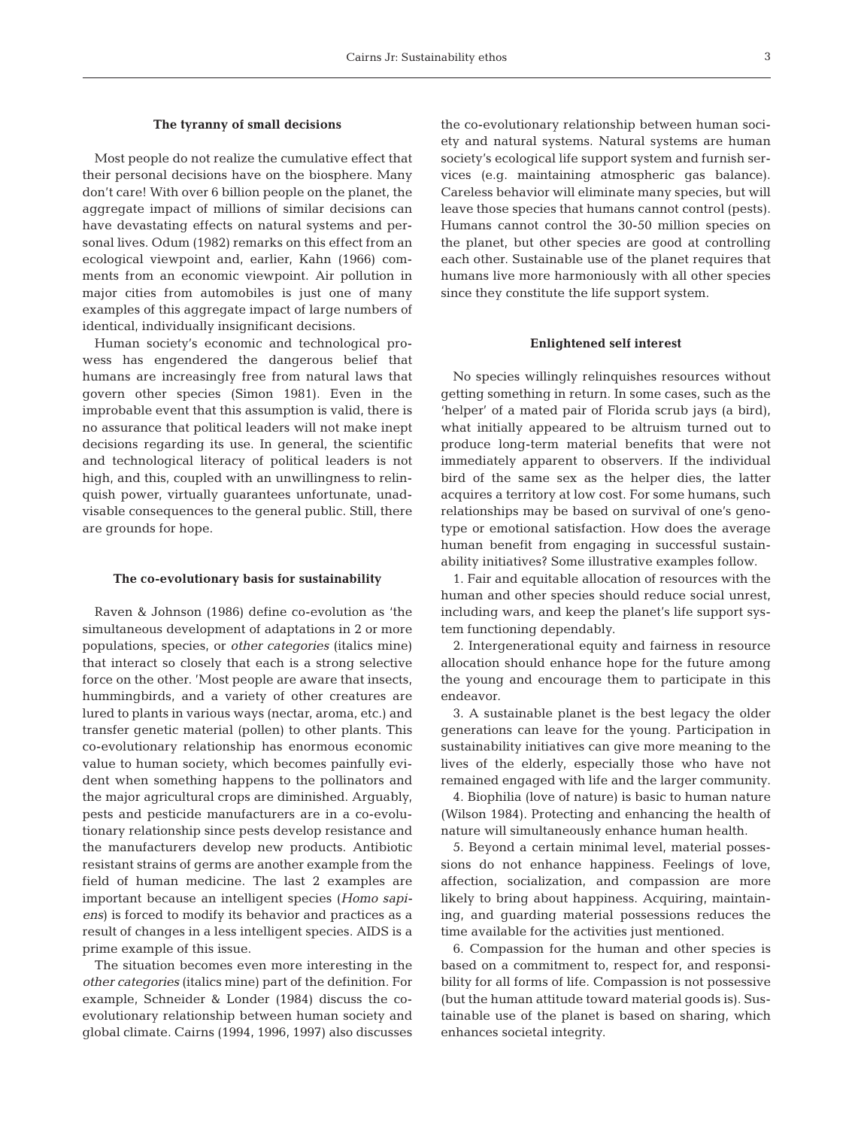#### **The tyranny of small decisions**

Most people do not realize the cumulative effect that their personal decisions have on the biosphere. Many don't care! With over 6 billion people on the planet, the aggregate impact of millions of similar decisions can have devastating effects on natural systems and personal lives. Odum (1982) remarks on this effect from an ecological viewpoint and, earlier, Kahn (1966) comments from an economic viewpoint. Air pollution in major cities from automobiles is just one of many examples of this aggregate impact of large numbers of identical, individually insignificant decisions.

Human society's economic and technological prowess has engendered the dangerous belief that humans are increasingly free from natural laws that govern other species (Simon 1981). Even in the improbable event that this assumption is valid, there is no assurance that political leaders will not make inept decisions regarding its use. In general, the scientific and technological literacy of political leaders is not high, and this, coupled with an unwillingness to relinquish power, virtually guarantees unfortunate, unadvisable consequences to the general public. Still, there are grounds for hope.

#### **The co-evolutionary basis for sustainability**

Raven & Johnson (1986) define co-evolution as 'the simultaneous development of adaptations in 2 or more populations, species, or *other categories* (italics mine) that interact so closely that each is a strong selective force on the other. 'Most people are aware that insects, hummingbirds, and a variety of other creatures are lured to plants in various ways (nectar, aroma, etc.) and transfer genetic material (pollen) to other plants. This co-evolutionary relationship has enormous economic value to human society, which becomes painfully evident when something happens to the pollinators and the major agricultural crops are diminished. Arguably, pests and pesticide manufacturers are in a co-evolutionary relationship since pests develop resistance and the manufacturers develop new products. Antibiotic resistant strains of germs are another example from the field of human medicine. The last 2 examples are important because an intelligent species (*Homo sapiens*) is forced to modify its behavior and practices as a result of changes in a less intelligent species. AIDS is a prime example of this issue.

The situation becomes even more interesting in the *other categories* (italics mine) part of the definition. For example, Schneider & Londer (1984) discuss the coevolutionary relationship between human society and global climate. Cairns (1994, 1996, 1997) also discusses the co-evolutionary relationship between human society and natural systems. Natural systems are human society's ecological life support system and furnish services (e.g. maintaining atmospheric gas balance). Careless behavior will eliminate many species, but will leave those species that humans cannot control (pests). Humans cannot control the 30-50 million species on the planet, but other species are good at controlling each other. Sustainable use of the planet requires that humans live more harmoniously with all other species since they constitute the life support system.

#### **Enlightened self interest**

No species willingly relinquishes resources without getting something in return. In some cases, such as the 'helper' of a mated pair of Florida scrub jays (a bird), what initially appeared to be altruism turned out to produce long-term material benefits that were not immediately apparent to observers. If the individual bird of the same sex as the helper dies, the latter acquires a territory at low cost. For some humans, such relationships may be based on survival of one's genotype or emotional satisfaction. How does the average human benefit from engaging in successful sustainability initiatives? Some illustrative examples follow.

1. Fair and equitable allocation of resources with the human and other species should reduce social unrest, including wars, and keep the planet's life support system functioning dependably.

2. Intergenerational equity and fairness in resource allocation should enhance hope for the future among the young and encourage them to participate in this endeavor.

3. A sustainable planet is the best legacy the older generations can leave for the young. Participation in sustainability initiatives can give more meaning to the lives of the elderly, especially those who have not remained engaged with life and the larger community.

4. Biophilia (love of nature) is basic to human nature (Wilson 1984). Protecting and enhancing the health of nature will simultaneously enhance human health.

5. Beyond a certain minimal level, material possessions do not enhance happiness. Feelings of love, affection, socialization, and compassion are more likely to bring about happiness. Acquiring, maintaining, and guarding material possessions reduces the time available for the activities just mentioned.

6. Compassion for the human and other species is based on a commitment to, respect for, and responsibility for all forms of life. Compassion is not possessive (but the human attitude toward material goods is). Sustainable use of the planet is based on sharing, which enhances societal integrity.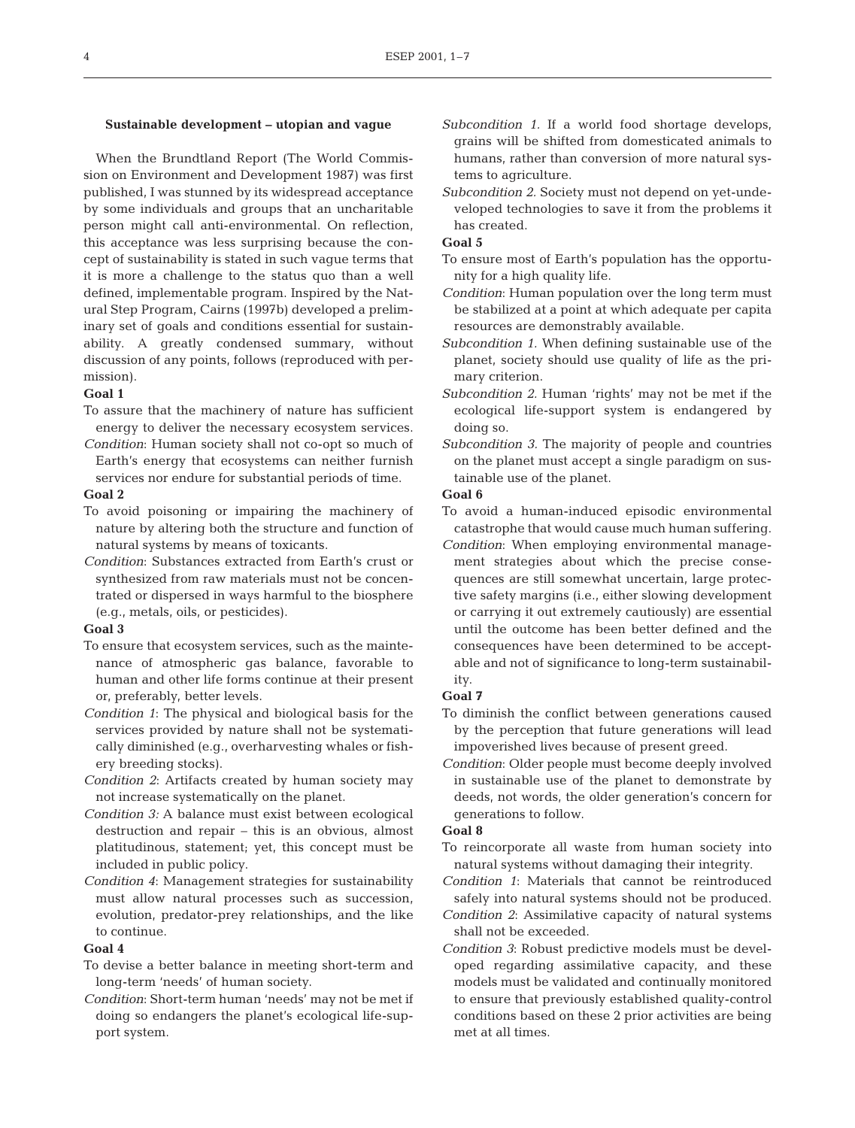#### **Sustainable development – utopian and vague**

When the Brundtland Report (The World Commission on Environment and Development 1987) was first published, I was stunned by its widespread acceptance by some individuals and groups that an uncharitable person might call anti-environmental. On reflection, this acceptance was less surprising because the concept of sustainability is stated in such vague terms that it is more a challenge to the status quo than a well defined, implementable program. Inspired by the Natural Step Program, Cairns (1997b) developed a preliminary set of goals and conditions essential for sustainability. A greatly condensed summary, without discussion of any points, follows (reproduced with permission).

#### **Goal 1**

- To assure that the machinery of nature has sufficient energy to deliver the necessary ecosystem services.
- *Condition*: Human society shall not co-opt so much of Earth's energy that ecosystems can neither furnish services nor endure for substantial periods of time.

### **Goal 2**

- To avoid poisoning or impairing the machinery of nature by altering both the structure and function of natural systems by means of toxicants.
- *Condition*: Substances extracted from Earth's crust or synthesized from raw materials must not be concentrated or dispersed in ways harmful to the biosphere (e.g., metals, oils, or pesticides).

#### **Goal 3**

- To ensure that ecosystem services, such as the maintenance of atmospheric gas balance, favorable to human and other life forms continue at their present or, preferably, better levels.
- *Condition 1*: The physical and biological basis for the services provided by nature shall not be systematically diminished (e.g., overharvesting whales or fishery breeding stocks).
- *Condition 2*: Artifacts created by human society may not increase systematically on the planet.
- *Condition 3:* A balance must exist between ecological destruction and repair – this is an obvious, almost platitudinous, statement; yet, this concept must be included in public policy.
- *Condition 4*: Management strategies for sustainability must allow natural processes such as succession, evolution, predator-prey relationships, and the like to continue.

#### **Goal 4**

- To devise a better balance in meeting short-term and long-term 'needs' of human society.
- *Condition*: Short-term human 'needs' may not be met if doing so endangers the planet's ecological life-support system.
- *Subcondition 1.* If a world food shortage develops, grains will be shifted from domesticated animals to humans, rather than conversion of more natural systems to agriculture.
- *Subcondition 2.* Society must not depend on yet-undeveloped technologies to save it from the problems it has created.

# **Goal 5**

- To ensure most of Earth's population has the opportunity for a high quality life.
- *Condition*: Human population over the long term must be stabilized at a point at which adequate per capita resources are demonstrably available.
- *Subcondition 1.* When defining sustainable use of the planet, society should use quality of life as the primary criterion.
- *Subcondition 2.* Human 'rights' may not be met if the ecological life-support system is endangered by doing so.
- *Subcondition 3.* The majority of people and countries on the planet must accept a single paradigm on sustainable use of the planet.

# **Goal 6**

- To avoid a human-induced episodic environmental catastrophe that would cause much human suffering.
- *Condition*: When employing environmental management strategies about which the precise consequences are still somewhat uncertain, large protective safety margins (i.e., either slowing development or carrying it out extremely cautiously) are essential until the outcome has been better defined and the consequences have been determined to be acceptable and not of significance to long-term sustainability.

#### **Goal 7**

- To diminish the conflict between generations caused by the perception that future generations will lead impoverished lives because of present greed.
- *Condition*: Older people must become deeply involved in sustainable use of the planet to demonstrate by deeds, not words, the older generation's concern for generations to follow.

#### **Goal 8**

- To reincorporate all waste from human society into natural systems without damaging their integrity.
- *Condition 1*: Materials that cannot be reintroduced safely into natural systems should not be produced.
- *Condition 2*: Assimilative capacity of natural systems shall not be exceeded.
- *Condition 3*: Robust predictive models must be developed regarding assimilative capacity, and these models must be validated and continually monitored to ensure that previously established quality-control conditions based on these 2 prior activities are being met at all times.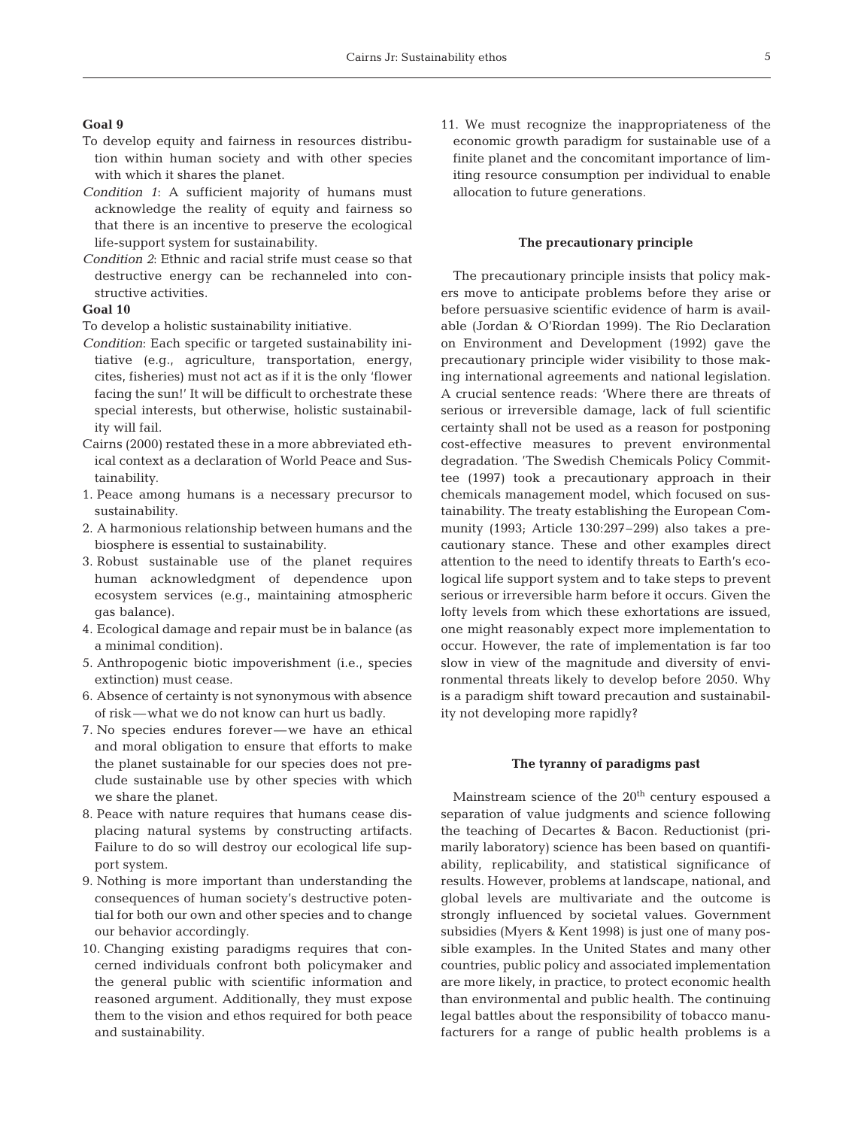# **Goal 9**

- To develop equity and fairness in resources distribution within human society and with other species with which it shares the planet.
- *Condition 1*: A sufficient majority of humans must acknowledge the reality of equity and fairness so that there is an incentive to preserve the ecological life-support system for sustainability.
- *Condition 2*: Ethnic and racial strife must cease so that destructive energy can be rechanneled into constructive activities.

#### **Goal 10**

To develop a holistic sustainability initiative.

- *Condition*: Each specific or targeted sustainability initiative (e.g., agriculture, transportation, energy, cites, fisheries) must not act as if it is the only 'flower facing the sun!' It will be difficult to orchestrate these special interests, but otherwise, holistic sustainability will fail.
- Cairns (2000) restated these in a more abbreviated ethical context as a declaration of World Peace and Sustainability.
- 1. Peace among humans is a necessary precursor to sustainability.
- 2. A harmonious relationship between humans and the biosphere is essential to sustainability.
- 3. Robust sustainable use of the planet requires human acknowledgment of dependence upon ecosystem services (e.g., maintaining atmospheric gas balance).
- 4. Ecological damage and repair must be in balance (as a minimal condition).
- 5. Anthropogenic biotic impoverishment (i.e., species extinction) must cease.
- 6. Absence of certainty is not synonymous with absence of risk—what we do not know can hurt us badly.
- 7. No species endures forever—we have an ethical and moral obligation to ensure that efforts to make the planet sustainable for our species does not preclude sustainable use by other species with which we share the planet.
- 8. Peace with nature requires that humans cease displacing natural systems by constructing artifacts. Failure to do so will destroy our ecological life support system.
- 9. Nothing is more important than understanding the consequences of human society's destructive potential for both our own and other species and to change our behavior accordingly.
- 10. Changing existing paradigms requires that concerned individuals confront both policymaker and the general public with scientific information and reasoned argument. Additionally, they must expose them to the vision and ethos required for both peace and sustainability.

11. We must recognize the inappropriateness of the economic growth paradigm for sustainable use of a finite planet and the concomitant importance of limiting resource consumption per individual to enable allocation to future generations.

#### **The precautionary principle**

The precautionary principle insists that policy makers move to anticipate problems before they arise or before persuasive scientific evidence of harm is available (Jordan & O'Riordan 1999). The Rio Declaration on Environment and Development (1992) gave the precautionary principle wider visibility to those making international agreements and national legislation. A crucial sentence reads: 'Where there are threats of serious or irreversible damage, lack of full scientific certainty shall not be used as a reason for postponing cost-effective measures to prevent environmental degradation. 'The Swedish Chemicals Policy Committee (1997) took a precautionary approach in their chemicals management model, which focused on sustainability. The treaty establishing the European Community (1993; Article 130:297–299) also takes a precautionary stance. These and other examples direct attention to the need to identify threats to Earth's ecological life support system and to take steps to prevent serious or irreversible harm before it occurs. Given the lofty levels from which these exhortations are issued, one might reasonably expect more implementation to occur. However, the rate of implementation is far too slow in view of the magnitude and diversity of environmental threats likely to develop before 2050. Why is a paradigm shift toward precaution and sustainability not developing more rapidly?

# **The tyranny of paradigms past**

Mainstream science of the 20<sup>th</sup> century espoused a separation of value judgments and science following the teaching of Decartes & Bacon. Reductionist (primarily laboratory) science has been based on quantifiability, replicability, and statistical significance of results. However, problems at landscape, national, and global levels are multivariate and the outcome is strongly influenced by societal values. Government subsidies (Myers & Kent 1998) is just one of many possible examples. In the United States and many other countries, public policy and associated implementation are more likely, in practice, to protect economic health than environmental and public health. The continuing legal battles about the responsibility of tobacco manufacturers for a range of public health problems is a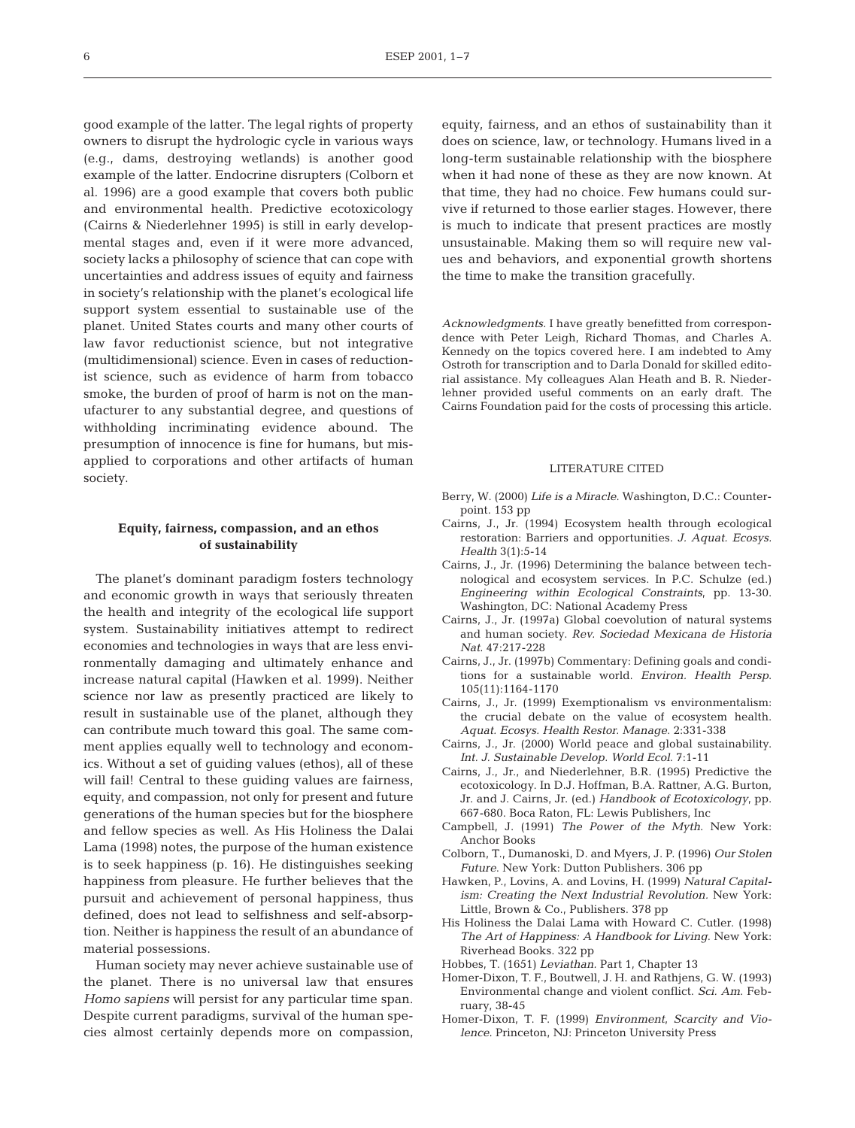good example of the latter. The legal rights of property owners to disrupt the hydrologic cycle in various ways (e.g., dams, destroying wetlands) is another good example of the latter. Endocrine disrupters (Colborn et al. 1996) are a good example that covers both public and environmental health. Predictive ecotoxicology (Cairns & Niederlehner 1995) is still in early developmental stages and, even if it were more advanced, society lacks a philosophy of science that can cope with uncertainties and address issues of equity and fairness in society's relationship with the planet's ecological life support system essential to sustainable use of the planet. United States courts and many other courts of law favor reductionist science, but not integrative (multidimensional) science. Even in cases of reductionist science, such as evidence of harm from tobacco smoke, the burden of proof of harm is not on the manufacturer to any substantial degree, and questions of

withholding incriminating evidence abound. The presumption of innocence is fine for humans, but misapplied to corporations and other artifacts of human society.

# **Equity, fairness, compassion, and an ethos of sustainability**

The planet's dominant paradigm fosters technology and economic growth in ways that seriously threaten the health and integrity of the ecological life support system. Sustainability initiatives attempt to redirect economies and technologies in ways that are less environmentally damaging and ultimately enhance and increase natural capital (Hawken et al. 1999). Neither science nor law as presently practiced are likely to result in sustainable use of the planet, although they can contribute much toward this goal. The same comment applies equally well to technology and economics. Without a set of guiding values (ethos), all of these will fail! Central to these quiding values are fairness, equity, and compassion, not only for present and future generations of the human species but for the biosphere and fellow species as well. As His Holiness the Dalai Lama (1998) notes, the purpose of the human existence is to seek happiness (p. 16). He distinguishes seeking happiness from pleasure. He further believes that the pursuit and achievement of personal happiness, thus defined, does not lead to selfishness and self-absorption. Neither is happiness the result of an abundance of material possessions.

Human society may never achieve sustainable use of the planet. There is no universal law that ensures *Homo sapiens* will persist for any particular time span. Despite current paradigms, survival of the human species almost certainly depends more on compassion, equity, fairness, and an ethos of sustainability than it does on science, law, or technology. Humans lived in a long-term sustainable relationship with the biosphere when it had none of these as they are now known. At that time, they had no choice. Few humans could survive if returned to those earlier stages. However, there is much to indicate that present practices are mostly unsustainable. Making them so will require new values and behaviors, and exponential growth shortens the time to make the transition gracefully.

*Acknowledgments.* I have greatly benefitted from correspondence with Peter Leigh, Richard Thomas, and Charles A. Kennedy on the topics covered here. I am indebted to Amy Ostroth for transcription and to Darla Donald for skilled editorial assistance. My colleagues Alan Heath and B. R. Niederlehner provided useful comments on an early draft. The Cairns Foundation paid for the costs of processing this article.

#### LITERATURE CITED

- Berry, W. (2000) *Life is a Miracle*. Washington, D.C.: Counterpoint. 153 pp
- Cairns, J., Jr. (1994) Ecosystem health through ecological restoration: Barriers and opportunities. *J. Aquat. Ecosys. Health* 3(1):5-14
- Cairns, J., Jr. (1996) Determining the balance between technological and ecosystem services. In P.C. Schulze (ed.) *Engineering within Ecological Constraints*, pp. 13-30. Washington, DC: National Academy Press
- Cairns, J., Jr. (1997a) Global coevolution of natural systems and human society. *Rev. Sociedad Mexicana de Historia Nat*. 47:217-228
- Cairns, J., Jr. (1997b) Commentary: Defining goals and conditions for a sustainable world. *Environ. Health Persp*. 105(11):1164-1170
- Cairns, J., Jr. (1999) Exemptionalism vs environmentalism: the crucial debate on the value of ecosystem health. *Aquat. Ecosys. Health Restor. Manage*. 2:331-338
- Cairns, J., Jr. (2000) World peace and global sustainability. *Int. J. Sustainable Develop. World Ecol*. 7:1-11
- Cairns, J., Jr., and Niederlehner, B.R. (1995) Predictive the ecotoxicology. In D.J. Hoffman, B.A. Rattner, A.G. Burton, Jr. and J. Cairns, Jr. (ed.) *Handbook of Ecotoxicology*, pp. 667-680. Boca Raton, FL: Lewis Publishers, Inc
- Campbell, J. (1991) *The Power of the Myth*. New York: Anchor Books
- Colborn, T., Dumanoski, D. and Myers, J. P. (1996) *Our Stolen Future*. New York: Dutton Publishers. 306 pp
- Hawken, P., Lovins, A. and Lovins, H. (1999) *Natural Capitalism: Creating the Next Industrial Revolution.* New York: Little, Brown & Co., Publishers. 378 pp
- His Holiness the Dalai Lama with Howard C. Cutler. (1998) *The Art of Happiness: A Handbook for Living*. New York: Riverhead Books. 322 pp
- Hobbes, T. (1651) *Leviathan.* Part 1, Chapter 13
- Homer-Dixon, T. F., Boutwell, J. H. and Rathjens, G. W. (1993) Environmental change and violent conflict. *Sci. Am*. February, 38-45
- Homer-Dixon, T. F. (1999) *Environment, Scarcity and Violence*. Princeton, NJ: Princeton University Press